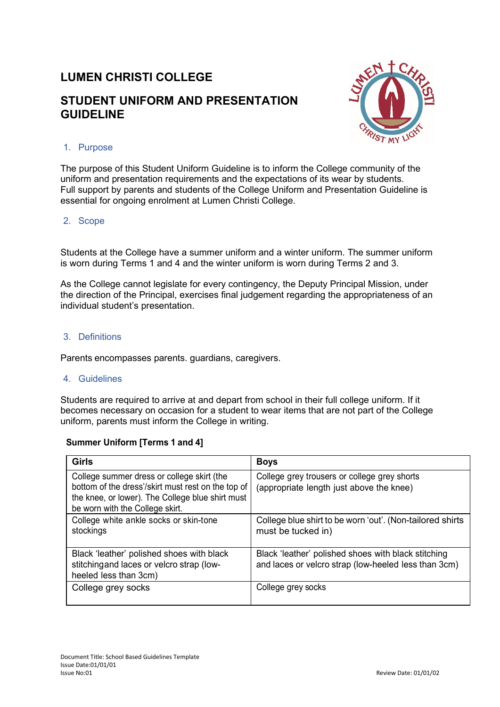# **LUMEN CHRISTI COLLEGE**

## **STUDENT UNIFORM AND PRESENTATION GUIDELINE**



## 1. Purpose

The purpose of this Student Uniform Guideline is to inform the College community of the uniform and presentation requirements and the expectations of its wear by students. Full support by parents and students of the College Uniform and Presentation Guideline is essential for ongoing enrolment at Lumen Christi College.

#### 2. Scope

Students at the College have a summer uniform and a winter uniform. The summer uniform is worn during Terms 1 and 4 and the winter uniform is worn during Terms 2 and 3.

As the College cannot legislate for every contingency, the Deputy Principal Mission, under the direction of the Principal, exercises final judgement regarding the appropriateness of an individual student's presentation.

#### 3. Definitions

Parents encompasses parents. guardians, caregivers.

#### 4. Guidelines

Students are required to arrive at and depart from school in their full college uniform. If it becomes necessary on occasion for a student to wear items that are not part of the College uniform, parents must inform the College in writing.

#### **Summer Uniform [Terms 1 and 4]**

| Girls                                                                                                                                                                                   | <b>Boys</b>                                                                                                 |  |
|-----------------------------------------------------------------------------------------------------------------------------------------------------------------------------------------|-------------------------------------------------------------------------------------------------------------|--|
| College summer dress or college skirt (the<br>bottom of the dress'/skirt must rest on the top of<br>the knee, or lower). The College blue shirt must<br>be worn with the College skirt. | College grey trousers or college grey shorts<br>(appropriate length just above the knee)                    |  |
| College white ankle socks or skin-tone<br>stockings                                                                                                                                     | College blue shirt to be worn 'out'. (Non-tailored shirts<br>must be tucked in)                             |  |
| Black 'leather' polished shoes with black<br>stitching and laces or velcro strap (low-<br>heeled less than 3cm)                                                                         | Black 'leather' polished shoes with black stitching<br>and laces or velcro strap (low-heeled less than 3cm) |  |
| College grey socks                                                                                                                                                                      | College grey socks                                                                                          |  |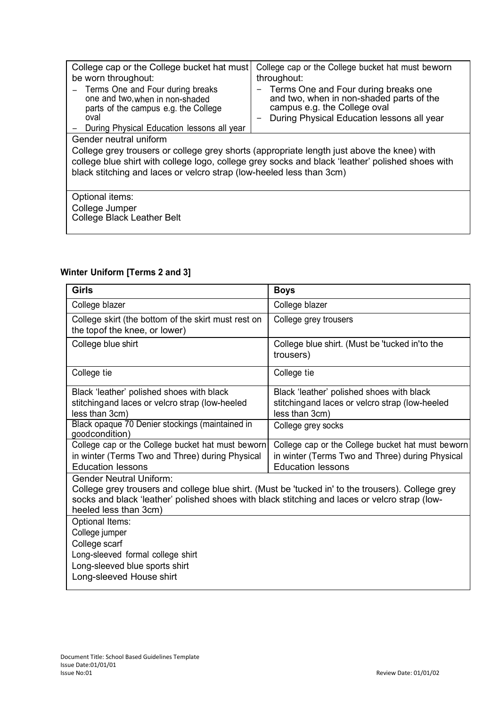| College cap or the College bucket hat must<br>be worn throughout:                                                                                                                                                                                                      | College cap or the College bucket hat must beworn<br>throughout:                                                                                                    |  |  |  |
|------------------------------------------------------------------------------------------------------------------------------------------------------------------------------------------------------------------------------------------------------------------------|---------------------------------------------------------------------------------------------------------------------------------------------------------------------|--|--|--|
| - Terms One and Four during breaks<br>one and two, when in non-shaded<br>parts of the campus e.g. the College<br>oval                                                                                                                                                  | Terms One and Four during breaks one<br>-<br>and two, when in non-shaded parts of the<br>campus e.g. the College oval<br>During Physical Education lessons all year |  |  |  |
| During Physical Education lessons all year                                                                                                                                                                                                                             |                                                                                                                                                                     |  |  |  |
| Gender neutral uniform                                                                                                                                                                                                                                                 |                                                                                                                                                                     |  |  |  |
| College grey trousers or college grey shorts (appropriate length just above the knee) with<br>college blue shirt with college logo, college grey socks and black 'leather' polished shoes with<br>black stitching and laces or velcro strap (low-heeled less than 3cm) |                                                                                                                                                                     |  |  |  |
| Optional items:                                                                                                                                                                                                                                                        |                                                                                                                                                                     |  |  |  |
| College Jumper<br><b>College Black Leather Belt</b>                                                                                                                                                                                                                    |                                                                                                                                                                     |  |  |  |

<u> 1989 - Johann Stoff, fransk politik (d. 1989)</u>

## **Winter Uniform [Terms 2 and 3]**

| <b>Girls</b>                                                                                                                                                                                                                                                  | <b>Boys</b>                                                                                                                      |  |  |  |
|---------------------------------------------------------------------------------------------------------------------------------------------------------------------------------------------------------------------------------------------------------------|----------------------------------------------------------------------------------------------------------------------------------|--|--|--|
| College blazer                                                                                                                                                                                                                                                | College blazer                                                                                                                   |  |  |  |
| College skirt (the bottom of the skirt must rest on<br>the topof the knee, or lower)                                                                                                                                                                          | College grey trousers                                                                                                            |  |  |  |
| College blue shirt                                                                                                                                                                                                                                            | College blue shirt. (Must be 'tucked in'to the<br>trousers)                                                                      |  |  |  |
| College tie                                                                                                                                                                                                                                                   | College tie                                                                                                                      |  |  |  |
| Black 'leather' polished shoes with black<br>stitchingand laces or velcro strap (low-heeled<br>less than 3cm)                                                                                                                                                 | Black 'leather' polished shoes with black<br>stitchingand laces or velcro strap (low-heeled<br>less than 3cm)                    |  |  |  |
| Black opaque 70 Denier stockings (maintained in<br>goodcondition)                                                                                                                                                                                             | College grey socks                                                                                                               |  |  |  |
| College cap or the College bucket hat must beworn<br>in winter (Terms Two and Three) during Physical<br><b>Education lessons</b>                                                                                                                              | College cap or the College bucket hat must beworn<br>in winter (Terms Two and Three) during Physical<br><b>Education lessons</b> |  |  |  |
| <b>Gender Neutral Uniform:</b><br>College grey trousers and college blue shirt. (Must be 'tucked in' to the trousers). College grey<br>socks and black 'leather' polished shoes with black stitching and laces or velcro strap (low-<br>heeled less than 3cm) |                                                                                                                                  |  |  |  |
| Optional Items:<br>College jumper<br>College scarf<br>Long-sleeved formal college shirt<br>Long-sleeved blue sports shirt<br>Long-sleeved House shirt                                                                                                         |                                                                                                                                  |  |  |  |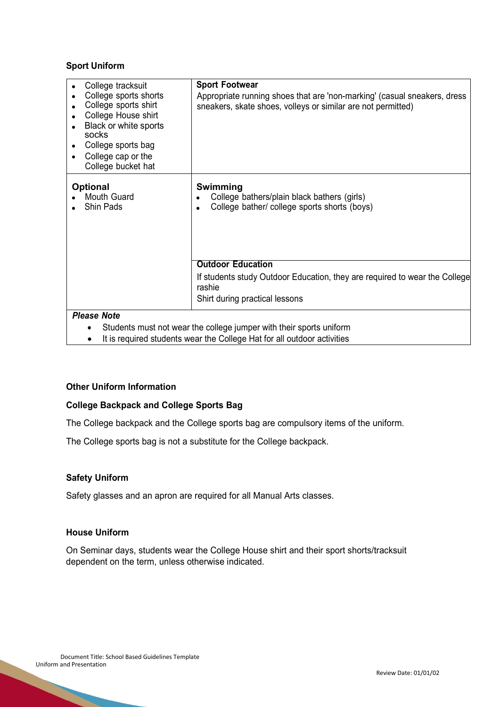#### **Sport Uniform**

| College tracksuit<br>College sports shorts<br>College sports shirt<br>College House shirt<br>Black or white sports<br>socks<br>College sports bag<br>$\bullet$<br>College cap or the<br>$\bullet$<br>College bucket hat | <b>Sport Footwear</b><br>Appropriate running shoes that are 'non-marking' (casual sneakers, dress<br>sneakers, skate shoes, volleys or similar are not permitted) |
|-------------------------------------------------------------------------------------------------------------------------------------------------------------------------------------------------------------------------|-------------------------------------------------------------------------------------------------------------------------------------------------------------------|
| <b>Optional</b><br>Mouth Guard<br>Shin Pads                                                                                                                                                                             | Swimming<br>College bathers/plain black bathers (girls)<br>College bather/ college sports shorts (boys)<br>$\bullet$                                              |
|                                                                                                                                                                                                                         | <b>Outdoor Education</b>                                                                                                                                          |
|                                                                                                                                                                                                                         | If students study Outdoor Education, they are required to wear the College<br>rashie<br>Shirt during practical lessons                                            |
| <b>Please Note</b><br>٠<br>$\bullet$                                                                                                                                                                                    | Students must not wear the college jumper with their sports uniform<br>It is required students wear the College Hat for all outdoor activities                    |

• It is required students wear the College Hat for all outdoor activities

#### **Other Uniform Information**

#### **College Backpack and College Sports Bag**

The College backpack and the College sports bag are compulsory items of the uniform.

The College sports bag is not a substitute for the College backpack.

#### **Safety Uniform**

Safety glasses and an apron are required for all Manual Arts classes.

## **House Uniform**

On Seminar days, students wear the College House shirt and their sport shorts/tracksuit dependent on the term, unless otherwise indicated.